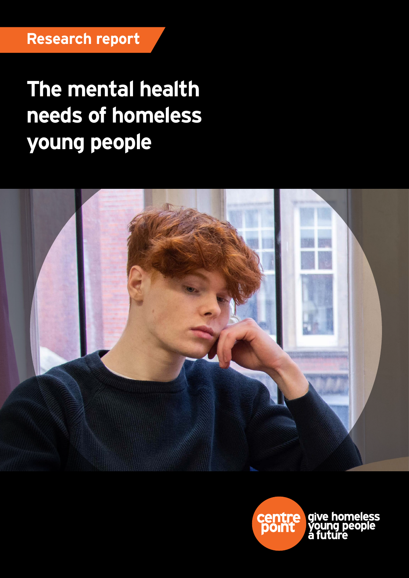# **The mental health needs of homeless young people**



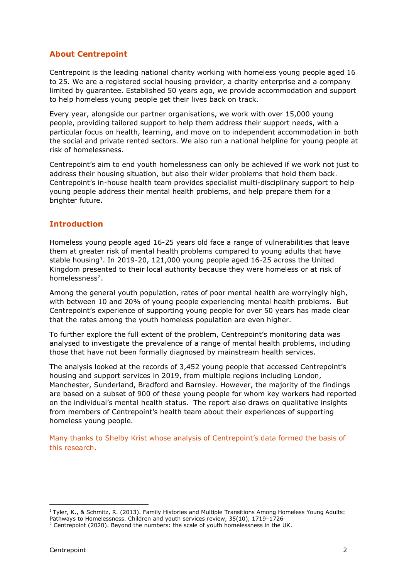# **About Centrepoint**

Centrepoint is the leading national charity working with homeless young people aged 16 to 25. We are a registered social housing provider, a charity enterprise and a company limited by guarantee. Established 50 years ago, we provide accommodation and support to help homeless young people get their lives back on track.

Every year, alongside our partner organisations, we work with over 15,000 young people, providing tailored support to help them address their support needs, with a particular focus on health, learning, and move on to independent accommodation in both the social and private rented sectors. We also run a national helpline for young people at risk of homelessness.

Centrepoint's aim to end youth homelessness can only be achieved if we work not just to address their housing situation, but also their wider problems that hold them back. Centrepoint's in-house health team provides specialist multi-disciplinary support to help young people address their mental health problems, and help prepare them for a brighter future.

# **Introduction**

Homeless young people aged 16-25 years old face a range of vulnerabilities that leave them at greater risk of mental health problems compared to young adults that have stable housing<sup>[1](#page-1-0)</sup>. In 2019-20, 121,000 young people aged 16-25 across the United Kingdom presented to their local authority because they were homeless or at risk of homelessness[2.](#page-1-1)

Among the general youth population, rates of poor mental health are worryingly high, with between 10 and 20% of young people experiencing mental health problems. But Centrepoint's experience of supporting young people for over 50 years has made clear that the rates among the youth homeless population are even higher.

To further explore the full extent of the problem, Centrepoint's monitoring data was analysed to investigate the prevalence of a range of mental health problems, including those that have not been formally diagnosed by mainstream health services.

The analysis looked at the records of 3,452 young people that accessed Centrepoint's housing and support services in 2019, from multiple regions including London, Manchester, Sunderland, Bradford and Barnsley. However, the majority of the findings are based on a subset of 900 of these young people for whom key workers had reported on the individual's mental health status. The report also draws on qualitative insights from members of Centrepoint's health team about their experiences of supporting homeless young people.

Many thanks to Shelby Krist whose analysis of Centrepoint's data formed the basis of this research.

<span id="page-1-0"></span><sup>&</sup>lt;sup>1</sup> Tyler, K., & Schmitz, R. (2013). Family Histories and Multiple Transitions Among Homeless Young Adults:

Pathways to Homelessness. Children and youth services review, 35(10), 1719-1726<sup>.</sup>

<span id="page-1-1"></span><sup>&</sup>lt;sup>2</sup> Centrepoint (2020). Beyond the numbers: the scale of youth homelessness in the UK.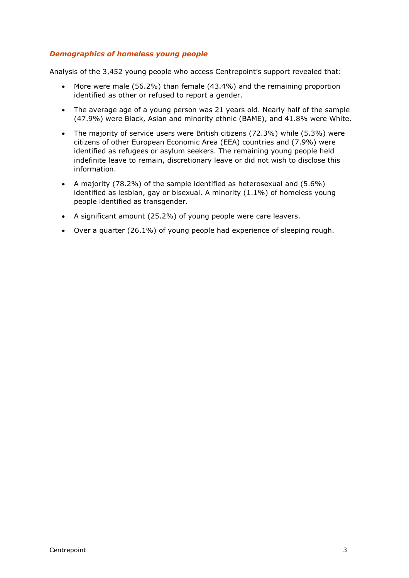# *Demographics of homeless young people*

Analysis of the 3,452 young people who access Centrepoint's support revealed that:

- More were male (56.2%) than female (43.4%) and the remaining proportion identified as other or refused to report a gender.
- The average age of a young person was 21 years old. Nearly half of the sample (47.9%) were Black, Asian and minority ethnic (BAME), and 41.8% were White.
- The majority of service users were British citizens (72.3%) while (5.3%) were citizens of other European Economic Area (EEA) countries and (7.9%) were identified as refugees or asylum seekers. The remaining young people held indefinite leave to remain, discretionary leave or did not wish to disclose this information.
- A majority (78.2%) of the sample identified as heterosexual and (5.6%) identified as lesbian, gay or bisexual. A minority (1.1%) of homeless young people identified as transgender.
- A significant amount (25.2%) of young people were care leavers.
- Over a quarter (26.1%) of young people had experience of sleeping rough.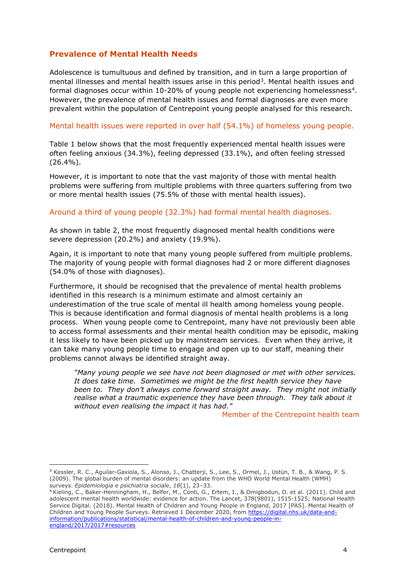# **Prevalence of Mental Health Needs**

Adolescence is tumultuous and defined by transition, and in turn a large proportion of mental illnesses and mental health issues arise in this period<sup>[3](#page-3-0)</sup>. Mental health issues and formal diagnoses occur within 10-20% of young people not experiencing homelessness<sup>[4](#page-3-1)</sup>. However, the prevalence of mental health issues and formal diagnoses are even more prevalent within the population of Centrepoint young people analysed for this research.

#### Mental health issues were reported in over half (54.1%) of homeless young people.

Table 1 below shows that the most frequently experienced mental health issues were often feeling anxious (34.3%), feeling depressed (33.1%), and often feeling stressed  $(26.4\%)$ .

However, it is important to note that the vast majority of those with mental health problems were suffering from multiple problems with three quarters suffering from two or more mental health issues (75.5% of those with mental health issues).

### Around a third of young people (32.3%) had formal mental health diagnoses.

As shown in table 2, the most frequently diagnosed mental health conditions were severe depression (20.2%) and anxiety (19.9%).

Again, it is important to note that many young people suffered from multiple problems. The majority of young people with formal diagnoses had 2 or more different diagnoses (54.0% of those with diagnoses).

Furthermore, it should be recognised that the prevalence of mental health problems identified in this research is a minimum estimate and almost certainly an underestimation of the true scale of mental ill health among homeless young people. This is because identification and formal diagnosis of mental health problems is a long process. When young people come to Centrepoint, many have not previously been able to access formal assessments and their mental health condition may be episodic, making it less likely to have been picked up by mainstream services. Even when they arrive, it can take many young people time to engage and open up to our staff, meaning their problems cannot always be identified straight away.

*"Many young people we see have not been diagnosed or met with other services. It does take time. Sometimes we might be the first health service they have been to. They don't always come forward straight away. They might not initially realise what a traumatic experience they have been through. They talk about it without even realising the impact it has had."*

Member of the Centrepoint health team

<span id="page-3-0"></span><sup>3</sup> Kessler, R. C., Aguilar-Gaxiola, S., Alonso, J., Chatterji, S., Lee, S., Ormel, J., Ustün, T. B., & Wang, P. S. (2009). The global burden of mental disorders: an update from the WHO World Mental Health (WMH) surveys. Epidemiologia e psichiatria sociale,  $18(1)$ , 23-33.

<span id="page-3-1"></span><sup>&</sup>lt;sup>4</sup> Kieling, C., Baker-Henningham, H., Belfer, M., Conti, G., Ertem, I., & Omigbodun, O. et al. (2011). Child and adolescent mental health worldwide: evidence for action. The Lancet, 378(9801), 1515-1525; National Health Service Digital. (2018). Mental Health of Children and Young People in England, 2017 [PAS]. Mental Health of Children and Young People Surveys. Retrieved 1 December 2020, from [https://digital.nhs.uk/data-and](https://digital.nhs.uk/data-and-information/publications/statistical/mental-health-of-children-and-young-people-in-england/2017/2017#resources)[information/publications/statistical/mental-health-of-children-and-young-people-in](https://digital.nhs.uk/data-and-information/publications/statistical/mental-health-of-children-and-young-people-in-england/2017/2017#resources)[england/2017/2017#resources](https://digital.nhs.uk/data-and-information/publications/statistical/mental-health-of-children-and-young-people-in-england/2017/2017#resources)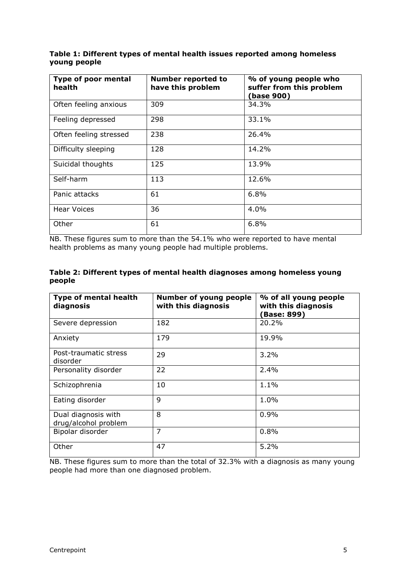| Table 1: Different types of mental health issues reported among homeless |  |
|--------------------------------------------------------------------------|--|
| young people                                                             |  |

| Type of poor mental<br>health | <b>Number reported to</b><br>have this problem | % of young people who<br>suffer from this problem<br>(base 900) |  |  |  |
|-------------------------------|------------------------------------------------|-----------------------------------------------------------------|--|--|--|
| Often feeling anxious         | 309                                            | 34.3%                                                           |  |  |  |
| Feeling depressed             | 298                                            | 33.1%                                                           |  |  |  |
| Often feeling stressed        | 238                                            | 26.4%                                                           |  |  |  |
| Difficulty sleeping           | 128                                            | 14.2%                                                           |  |  |  |
| Suicidal thoughts             | 125                                            | 13.9%                                                           |  |  |  |
| Self-harm                     | 113                                            | 12.6%                                                           |  |  |  |
| Panic attacks                 | 61                                             | 6.8%                                                            |  |  |  |
| <b>Hear Voices</b>            | 36                                             | 4.0%                                                            |  |  |  |
| Other                         | 61                                             | 6.8%                                                            |  |  |  |

NB. These figures sum to more than the 54.1% who were reported to have mental health problems as many young people had multiple problems.

| Table 2: Different types of mental health diagnoses among homeless young |  |
|--------------------------------------------------------------------------|--|
| people                                                                   |  |

| <b>Type of mental health</b><br>diagnosis   | <b>Number of young people</b><br>with this diagnosis | % of all young people<br>with this diagnosis<br><b>Base: 899)</b> |  |  |
|---------------------------------------------|------------------------------------------------------|-------------------------------------------------------------------|--|--|
| Severe depression                           | 182                                                  | 20.2%                                                             |  |  |
| Anxiety                                     | 179                                                  | 19.9%                                                             |  |  |
| Post-traumatic stress<br>disorder           | 29                                                   | 3.2%                                                              |  |  |
| Personality disorder                        | 22                                                   | 2.4%                                                              |  |  |
| Schizophrenia                               | 10                                                   | 1.1%                                                              |  |  |
| Eating disorder                             | 9                                                    | $1.0\%$                                                           |  |  |
| Dual diagnosis with<br>drug/alcohol problem | 8                                                    | 0.9%                                                              |  |  |
| Bipolar disorder                            | 7                                                    | 0.8%                                                              |  |  |
| Other                                       | 47                                                   | 5.2%                                                              |  |  |

NB. These figures sum to more than the total of 32.3% with a diagnosis as many young people had more than one diagnosed problem.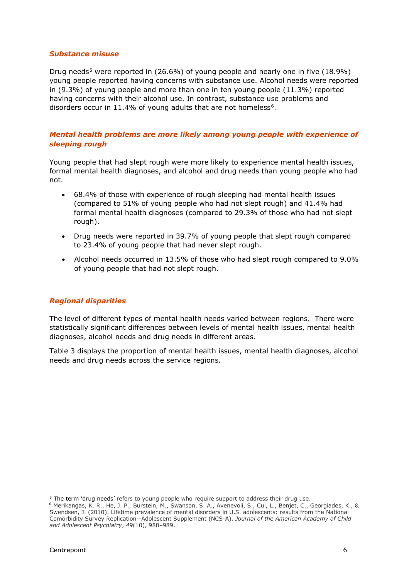### *Substance misuse*

Drug needs<sup>[5](#page-5-0)</sup> were reported in  $(26.6\%)$  of young people and nearly one in five  $(18.9\%)$ young people reported having concerns with substance use. Alcohol needs were reported in (9.3%) of young people and more than one in ten young people (11.3%) reported having concerns with their alcohol use. In contrast, substance use problems and disorders occur in 11.4% of young adults that are not homeless<sup>6</sup>.

# *Mental health problems are more likely among young people with experience of sleeping rough*

Young people that had slept rough were more likely to experience mental health issues, formal mental health diagnoses, and alcohol and drug needs than young people who had not.

- 68.4% of those with experience of rough sleeping had mental health issues (compared to 51% of young people who had not slept rough) and 41.4% had formal mental health diagnoses (compared to 29.3% of those who had not slept rough).
- Drug needs were reported in 39.7% of young people that slept rough compared to 23.4% of young people that had never slept rough.
- Alcohol needs occurred in 13.5% of those who had slept rough compared to 9.0% of young people that had not slept rough.

# *Regional disparities*

The level of different types of mental health needs varied between regions. There were statistically significant differences between levels of mental health issues, mental health diagnoses, alcohol needs and drug needs in different areas.

Table 3 displays the proportion of mental health issues, mental health diagnoses, alcohol needs and drug needs across the service regions.

l

<span id="page-5-1"></span><span id="page-5-0"></span><sup>&</sup>lt;sup>5</sup> The term 'drug needs' refers to young people who require support to address their drug use. <sup>6</sup> Merikangas, K. R., He, J. P., Burstein, M., Swanson, S. A., Avenevoli, S., Cui, L., Benjet, C., Georgiades, K., & Swendsen, J. (2010). Lifetime prevalence of mental disorders in U.S. adolescents: results from the National Comorbidity Survey Replication--Adolescent Supplement (NCS-A). *Journal of the American Academy of Child and Adolescent Psychiatry*, *49*(10), 980–989.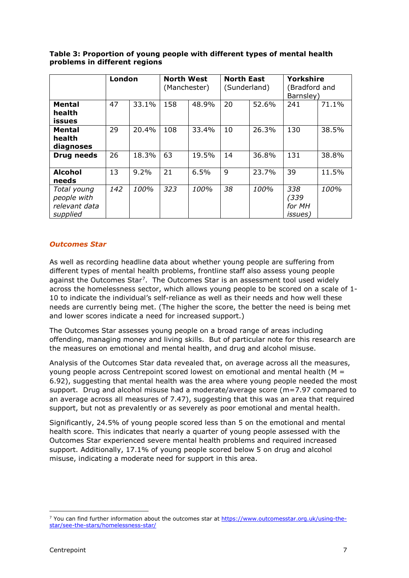|                                                         | London |       | <b>North West</b><br>(Manchester) |       | <b>North East</b><br>(Sunderland) |       | <b>Yorkshire</b><br>Bradford and<br>Barnsley) |       |
|---------------------------------------------------------|--------|-------|-----------------------------------|-------|-----------------------------------|-------|-----------------------------------------------|-------|
| <b>Mental</b><br>health<br>issues                       | 47     | 33.1% | 158                               | 48.9% | 20                                | 52.6% | 241                                           | 71.1% |
| <b>Mental</b><br>health<br>diagnoses                    | 29     | 20.4% | 108                               | 33.4% | 10                                | 26.3% | 130                                           | 38.5% |
| <b>Drug needs</b>                                       | 26     | 18.3% | 63                                | 19.5% | 14                                | 36.8% | 131                                           | 38.8% |
| <b>Alcohol</b><br>needs                                 | 13     | 9.2%  | 21                                | 6.5%  | 9                                 | 23.7% | 39                                            | 11.5% |
| Total young<br>people with<br>relevant data<br>supplied | 142    | 100%  | 323                               | 100%  | 38                                | 100%  | 338<br>(339)<br>for MH<br><i>issues</i> )     | 100%  |

## **Table 3: Proportion of young people with different types of mental health problems in different regions**

# *Outcomes Star*

As well as recording headline data about whether young people are suffering from different types of mental health problems, frontline staff also assess young people against the Outcomes Star<sup>[7](#page-6-0)</sup>. The Outcomes Star is an assessment tool used widely across the homelessness sector, which allows young people to be scored on a scale of 1- 10 to indicate the individual's self-reliance as well as their needs and how well these needs are currently being met. (The higher the score, the better the need is being met and lower scores indicate a need for increased support.)

The Outcomes Star assesses young people on a broad range of areas including offending, managing money and living skills. But of particular note for this research are the measures on emotional and mental health, and drug and alcohol misuse.

Analysis of the Outcomes Star data revealed that, on average across all the measures, young people across Centrepoint scored lowest on emotional and mental health ( $M =$ 6.92), suggesting that mental health was the area where young people needed the most support. Drug and alcohol misuse had a moderate/average score (m=7.97 compared to an average across all measures of 7.47), suggesting that this was an area that required support, but not as prevalently or as severely as poor emotional and mental health.

Significantly, 24.5% of young people scored less than 5 on the emotional and mental health score. This indicates that nearly a quarter of young people assessed with the Outcomes Star experienced severe mental health problems and required increased support. Additionally, 17.1% of young people scored below 5 on drug and alcohol misuse, indicating a moderate need for support in this area.

<span id="page-6-0"></span><sup>&</sup>lt;sup>7</sup> You can find further information about the outcomes star at [https://www.outcomesstar.org.uk/using-the](https://www.outcomesstar.org.uk/using-the-star/see-the-stars/homelessness-star/)[star/see-the-stars/homelessness-star/](https://www.outcomesstar.org.uk/using-the-star/see-the-stars/homelessness-star/)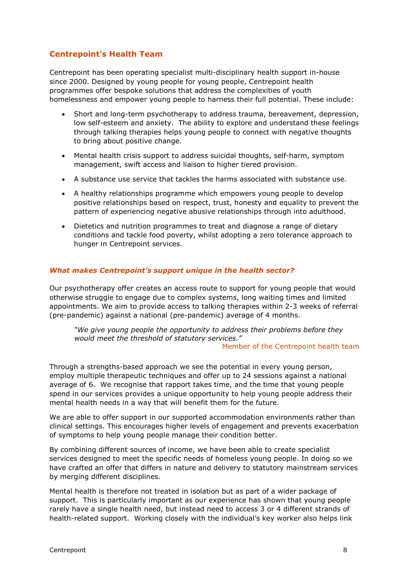# **Centrepoint's Health Team**

Centrepoint has been operating specialist multi-disciplinary health support in-house since 2000. Designed by young people for young people, Centrepoint health programmes offer bespoke solutions that address the complexities of youth homelessness and empower young people to harness their full potential. These include:

- Short and long-term psychotherapy to address trauma, bereavement, depression, low self-esteem and anxiety. The ability to explore and understand these feelings through talking therapies helps young people to connect with negative thoughts to bring about positive change.
- Mental health crisis support to address suicidal thoughts, self-harm, symptom management, swift access and liaison to higher tiered provision.
- A substance use service that tackles the harms associated with substance use.
- A healthy relationships programme which empowers young people to develop positive relationships based on respect, trust, honesty and equality to prevent the pattern of experiencing negative abusive relationships through into adulthood.
- Dietetics and nutrition programmes to treat and diagnose a range of dietary conditions and tackle food poverty, whilst adopting a zero tolerance approach to hunger in Centrepoint services.

### *What makes Centrepoint's support unique in the health sector?*

Our psychotherapy offer creates an access route to support for young people that would otherwise struggle to engage due to complex systems, long waiting times and limited appointments. We aim to provide access to talking therapies within 2-3 weeks of referral (pre-pandemic) against a national (pre-pandemic) average of 4 months.

*"We give young people the opportunity to address their problems before they would meet the threshold of statutory services."*

#### Member of the Centrepoint health team

Through a strengths-based approach we see the potential in every young person, employ multiple therapeutic techniques and offer up to 24 sessions against a national average of 6. We recognise that rapport takes time, and the time that young people spend in our services provides a unique opportunity to help young people address their mental health needs in a way that will benefit them for the future.

We are able to offer support in our supported accommodation environments rather than clinical settings. This encourages higher levels of engagement and prevents exacerbation of symptoms to help young people manage their condition better.

By combining different sources of income, we have been able to create specialist services designed to meet the specific needs of homeless young people. In doing so we have crafted an offer that differs in nature and delivery to statutory mainstream services by merging different disciplines.

Mental health is therefore not treated in isolation but as part of a wider package of support. This is particularly important as our experience has shown that young people rarely have a single health need, but instead need to access 3 or 4 different strands of health-related support. Working closely with the individual's key worker also helps link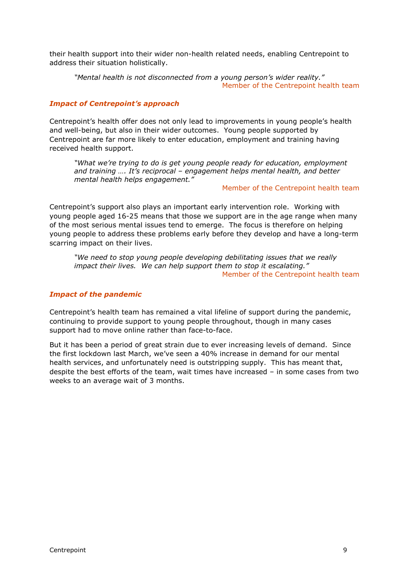their health support into their wider non-health related needs, enabling Centrepoint to address their situation holistically.

*"Mental health is not disconnected from a young person's wider reality."* Member of the Centrepoint health team

## *Impact of Centrepoint's approach*

Centrepoint's health offer does not only lead to improvements in young people's health and well-being, but also in their wider outcomes. Young people supported by Centrepoint are far more likely to enter education, employment and training having received health support.

*"What we're trying to do is get young people ready for education, employment and training …. It's reciprocal – engagement helps mental health, and better mental health helps engagement."*

Member of the Centrepoint health team

Centrepoint's support also plays an important early intervention role. Working with young people aged 16-25 means that those we support are in the age range when many of the most serious mental issues tend to emerge. The focus is therefore on helping young people to address these problems early before they develop and have a long-term scarring impact on their lives.

*"We need to stop young people developing debilitating issues that we really impact their lives. We can help support them to stop it escalating."* Member of the Centrepoint health team

# *Impact of the pandemic*

Centrepoint's health team has remained a vital lifeline of support during the pandemic, continuing to provide support to young people throughout, though in many cases support had to move online rather than face-to-face.

But it has been a period of great strain due to ever increasing levels of demand. Since the first lockdown last March, we've seen a 40% increase in demand for our mental health services, and unfortunately need is outstripping supply. This has meant that, despite the best efforts of the team, wait times have increased – in some cases from two weeks to an average wait of 3 months.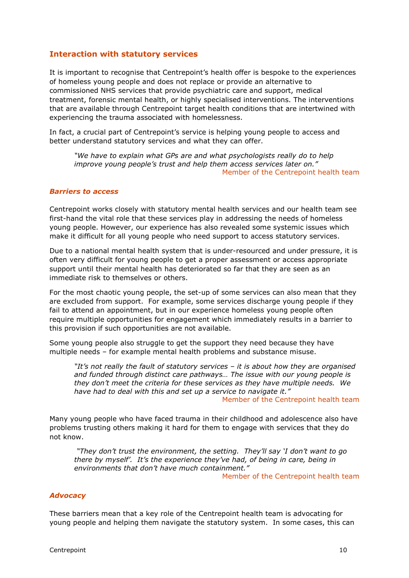# **Interaction with statutory services**

It is important to recognise that Centrepoint's health offer is bespoke to the experiences of homeless young people and does not replace or provide an alternative to commissioned NHS services that provide psychiatric care and support, medical treatment, forensic mental health, or highly specialised interventions. The interventions that are available through Centrepoint target health conditions that are intertwined with experiencing the trauma associated with homelessness.

In fact, a crucial part of Centrepoint's service is helping young people to access and better understand statutory services and what they can offer.

*"We have to explain what GPs are and what psychologists really do to help improve young people's trust and help them access services later on."* Member of the Centrepoint health team

## *Barriers to access*

Centrepoint works closely with statutory mental health services and our health team see first-hand the vital role that these services play in addressing the needs of homeless young people. However, our experience has also revealed some systemic issues which make it difficult for all young people who need support to access statutory services.

Due to a national mental health system that is under-resourced and under pressure, it is often very difficult for young people to get a proper assessment or access appropriate support until their mental health has deteriorated so far that they are seen as an immediate risk to themselves or others.

For the most chaotic young people, the set-up of some services can also mean that they are excluded from support. For example, some services discharge young people if they fail to attend an appointment, but in our experience homeless young people often require multiple opportunities for engagement which immediately results in a barrier to this provision if such opportunities are not available.

Some young people also struggle to get the support they need because they have multiple needs – for example mental health problems and substance misuse.

*"It's not really the fault of statutory services – it is about how they are organised and funded through distinct care pathways… The issue with our young people is they don't meet the criteria for these services as they have multiple needs. We have had to deal with this and set up a service to navigate it."*

Member of the Centrepoint health team

Many young people who have faced trauma in their childhood and adolescence also have problems trusting others making it hard for them to engage with services that they do not know.

*"They don't trust the environment, the setting. They'll say 'I don't want to go there by myself'. It's the experience they've had, of being in care, being in environments that don't have much containment."*

Member of the Centrepoint health team

#### *Advocacy*

These barriers mean that a key role of the Centrepoint health team is advocating for young people and helping them navigate the statutory system. In some cases, this can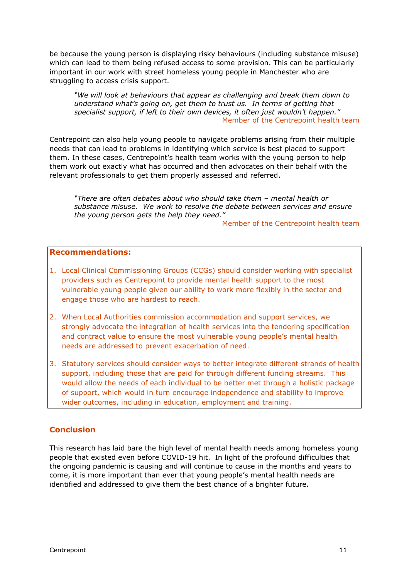be because the young person is displaying risky behaviours (including substance misuse) which can lead to them being refused access to some provision. This can be particularly important in our work with street homeless young people in Manchester who are struggling to access crisis support.

*"We will look at behaviours that appear as challenging and break them down to understand what's going on, get them to trust us. In terms of getting that specialist support, if left to their own devices, it often just wouldn't happen."* Member of the Centrepoint health team

Centrepoint can also help young people to navigate problems arising from their multiple needs that can lead to problems in identifying which service is best placed to support them. In these cases, Centrepoint's health team works with the young person to help them work out exactly what has occurred and then advocates on their behalf with the relevant professionals to get them properly assessed and referred.

*"There are often debates about who should take them – mental health or substance misuse. We work to resolve the debate between services and ensure the young person gets the help they need."* 

Member of the Centrepoint health team

# **Recommendations:**

- 1. Local Clinical Commissioning Groups (CCGs) should consider working with specialist providers such as Centrepoint to provide mental health support to the most vulnerable young people given our ability to work more flexibly in the sector and engage those who are hardest to reach.
- 2. When Local Authorities commission accommodation and support services, we strongly advocate the integration of health services into the tendering specification and contract value to ensure the most vulnerable young people's mental health needs are addressed to prevent exacerbation of need.
- 3. Statutory services should consider ways to better integrate different strands of health support, including those that are paid for through different funding streams. This would allow the needs of each individual to be better met through a holistic package of support, which would in turn encourage independence and stability to improve wider outcomes, including in education, employment and training.

# **Conclusion**

This research has laid bare the high level of mental health needs among homeless young people that existed even before COVID-19 hit. In light of the profound difficulties that the ongoing pandemic is causing and will continue to cause in the months and years to come, it is more important than ever that young people's mental health needs are identified and addressed to give them the best chance of a brighter future.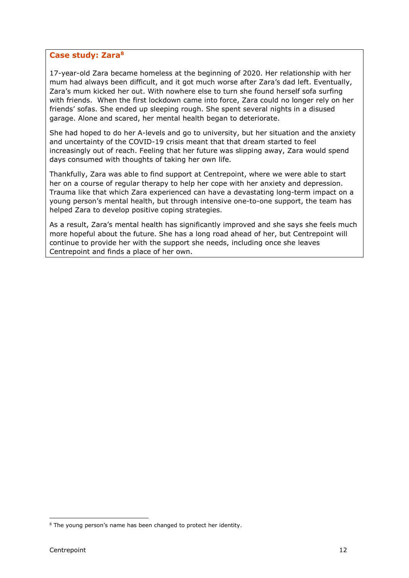# **Case study: Zara[8](#page-11-0)**

17-year-old Zara became homeless at the beginning of 2020. Her relationship with her mum had always been difficult, and it got much worse after Zara's dad left. Eventually, Zara's mum kicked her out. With nowhere else to turn she found herself sofa surfing with friends. When the first lockdown came into force, Zara could no longer rely on her friends' sofas. She ended up sleeping rough. She spent several nights in a disused garage. Alone and scared, her mental health began to deteriorate.

She had hoped to do her A-levels and go to university, but her situation and the anxiety and uncertainty of the COVID-19 crisis meant that that dream started to feel increasingly out of reach. Feeling that her future was slipping away, Zara would spend days consumed with thoughts of taking her own life.

Thankfully, Zara was able to find support at Centrepoint, where we were able to start her on a course of regular therapy to help her cope with her anxiety and depression. Trauma like that which Zara experienced can have a devastating long-term impact on a young person's mental health, but through intensive one-to-one support, the team has helped Zara to develop positive coping strategies.

As a result, Zara's mental health has significantly improved and she says she feels much more hopeful about the future. She has a long road ahead of her, but Centrepoint will continue to provide her with the support she needs, including once she leaves Centrepoint and finds a place of her own.

<span id="page-11-0"></span><sup>&</sup>lt;sup>8</sup> The young person's name has been changed to protect her identity.